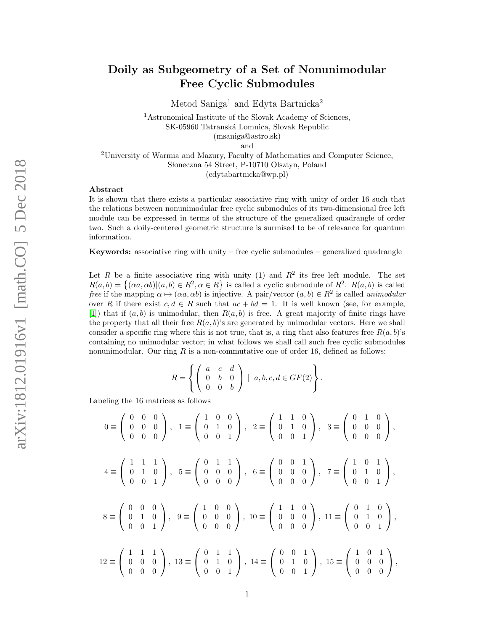## Doily as Subgeometry of a Set of Nonunimodular Free Cyclic Submodules

Metod Saniga<sup>1</sup> and Edyta Bartnicka<sup>2</sup>

<sup>1</sup>Astronomical Institute of the Slovak Academy of Sciences, SK-05960 Tatranská Lomnica, Slovak Republic (msaniga@astro.sk) and

<sup>2</sup>University of Warmia and Mazury, Faculty of Mathematics and Computer Science, Słoneczna 54 Street, P-10710 Olsztyn, Poland (edytabartnicka@wp.pl)

## Abstract

It is shown that there exists a particular associative ring with unity of order 16 such that the relations between nonunimodular free cyclic submodules of its two-dimensional free left module can be expressed in terms of the structure of the generalized quadrangle of order two. Such a doily-centered geometric structure is surmised to be of relevance for quantum information.

**Keywords:** associative ring with unity – free cyclic submodules – generalized quadrangle

Let R be a finite associative ring with unity (1) and  $R^2$  its free left module. The set  $R(a, b) = \{(\alpha a, \alpha b) | (a, b) \in R^2, \alpha \in R\}$  is called a cyclic submodule of  $R^2$ .  $R(a, b)$  is called free if the mapping  $\alpha \mapsto (\alpha a, \alpha b)$  is injective. A pair/vector  $(a, b) \in R^2$  is called unimodular over R if there exist  $c, d \in R$  such that  $ac + bd = 1$ . It is well known (see, for example, [\[1\]](#page-4-0)) that if  $(a, b)$  is unimodular, then  $R(a, b)$  is free. A great majority of finite rings have the property that all their free  $R(a, b)$ 's are generated by unimodular vectors. Here we shall consider a specific ring where this is not true, that is, a ring that also features free  $R(a, b)$ 's containing no unimodular vector; in what follows we shall call such free cyclic submodules nonunimodular. Our ring  $R$  is a non-commutative one of order 16, defined as follows:

$$
R = \left\{ \left( \begin{array}{ccc} a & c & d \\ 0 & b & 0 \\ 0 & 0 & b \end{array} \right) \mid a, b, c, d \in GF(2) \right\}.
$$

Labeling the 16 matrices as follows

$$
0 \equiv \begin{pmatrix} 0 & 0 & 0 \\ 0 & 0 & 0 \\ 0 & 0 & 0 \end{pmatrix}, \quad 1 \equiv \begin{pmatrix} 1 & 0 & 0 \\ 0 & 1 & 0 \\ 0 & 0 & 1 \end{pmatrix}, \quad 2 \equiv \begin{pmatrix} 1 & 1 & 0 \\ 0 & 1 & 0 \\ 0 & 0 & 1 \end{pmatrix}, \quad 3 \equiv \begin{pmatrix} 0 & 1 & 0 \\ 0 & 0 & 0 \\ 0 & 0 & 0 \end{pmatrix},
$$

$$
4 \equiv \begin{pmatrix} 1 & 1 & 1 \\ 0 & 1 & 0 \\ 0 & 0 & 1 \end{pmatrix}, \quad 5 \equiv \begin{pmatrix} 0 & 1 & 1 \\ 0 & 0 & 0 \\ 0 & 0 & 0 \end{pmatrix}, \quad 6 \equiv \begin{pmatrix} 0 & 0 & 1 \\ 0 & 0 & 0 \\ 0 & 0 & 0 \end{pmatrix}, \quad 7 \equiv \begin{pmatrix} 1 & 0 & 1 \\ 0 & 1 & 0 \\ 0 & 0 & 1 \end{pmatrix},
$$

$$
8 \equiv \begin{pmatrix} 0 & 0 & 0 \\ 0 & 1 & 0 \\ 0 & 0 & 1 \end{pmatrix}, \quad 9 \equiv \begin{pmatrix} 1 & 0 & 0 \\ 0 & 0 & 0 \\ 0 & 0 & 0 \end{pmatrix}, \quad 10 \equiv \begin{pmatrix} 1 & 1 & 0 \\ 0 & 0 & 0 \\ 0 & 0 & 0 \end{pmatrix}, \quad 11 \equiv \begin{pmatrix} 0 & 1 & 0 \\ 0 & 1 & 0 \\ 0 & 0 & 1 \end{pmatrix},
$$

$$
12 \equiv \begin{pmatrix} 1 & 1 & 1 \\ 0 & 0 & 0 \\ 0 & 0 & 0 \end{pmatrix}, \quad 13 \equiv \begin{pmatrix} 0 & 1 & 1 \\ 0 & 1 & 0 \\ 0 & 0 & 1 \end{pmatrix}, \quad 14 \equiv \begin{pmatrix} 0 & 0 & 1 \\ 0 & 1 & 0 \\ 0 & 0 & 1 \end{pmatrix}, \quad 15 \equiv \begin{pmatrix} 1 & 0 & 1 \\ 0 & 0 & 0 \\ 0 & 0 & 0 \end{pmatrix},
$$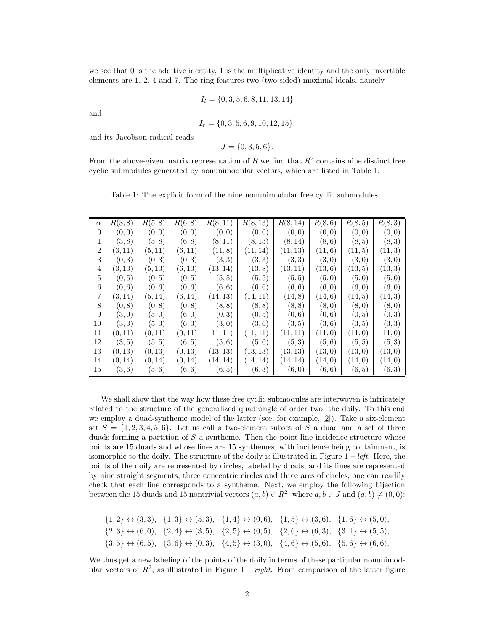we see that 0 is the additive identity, 1 is the multiplicative identity and the only invertible elements are 1, 2, 4 and 7. The ring features two (two-sided) maximal ideals, namely

$$
I_l = \{0, 3, 5, 6, 8, 11, 13, 14\}
$$

and

$$
I_r = \{0, 3, 5, 6, 9, 10, 12, 15\},\
$$

and its Jacobson radical reads

 $J = \{0, 3, 5, 6\}.$ 

From the above-given matrix representation of R we find that  $R^2$  contains nine distinct free cyclic submodules generated by nonunimodular vectors, which are listed in Table 1.

Table 1: The explicit form of the nine nonunimodular free cyclic submodules.

| $\alpha$       | R(3,8)  | R(5,8)  | R(6,8)  | R(8, 11) | R(8, 13) | R(8, 14) | R(8,6)  | R(8,5)              | R(8,3)  |
|----------------|---------|---------|---------|----------|----------|----------|---------|---------------------|---------|
| $\theta$       | (0,0)   | (0,0)   | (0,0)   | (0, 0)   | (0, 0)   | (0, 0)   | (0, 0)  | (0,0)               | (0,0)   |
| 1              | (3, 8)  | (5, 8)  | (6, 8)  | (8,11)   | (8,13)   | (8, 14)  | (8, 6)  | (8, 5)              | (8, 3)  |
| $\overline{2}$ | (3,11)  | (5,11)  | (6, 11) | (11, 8)  | (11, 14) | (11, 13) | (11, 6) | (11, 5)             | (11, 3) |
| 3              | (0, 3)  | (0,3)   | (0,3)   | (3, 3)   | (3, 3)   | (3, 3)   | (3,0)   | (3,0)               | (3,0)   |
| 4              | (3, 13) | (5,13)  | (6, 13) | (13, 14) | (13, 8)  | (13, 11) | (13, 6) | (13, 5)             | (13, 3) |
| 5              | (0, 5)  | (0, 5)  | (0,5)   | (5, 5)   | (5,5)    | (5, 5)   | (5,0)   | (5,0)               | (5,0)   |
| 6              | (0,6)   | (0, 6)  | (0,6)   | (6,6)    | (6, 6)   | (6, 6)   | (6, 0)  | (6, 0)              | (6, 0)  |
| 7              | (3,14)  | (5, 14) | (6,14)  | (14,13)  | (14, 11) | (14, 8)  | (14, 6) | (14, 5)             | (14, 3) |
| 8              | (0, 8)  | (0, 8)  | (0, 8)  | (8, 8)   | (8, 8)   | (8, 8)   | (8, 0)  | (8,0)               | (8, 0)  |
| 9              | (3,0)   | (5,0)   | (6,0)   | (0, 3)   | (0, 5)   | (0,6)    | (0, 6)  | (0, 5)              | (0, 3)  |
| 10             | (3,3)   | (5,3)   | (6,3)   | (3,0)    | (3, 6)   | (3, 5)   | (3, 6)  | (3, 5)              | (3,3)   |
| 11             | (0, 11) | (0,11)  | (0,11)  | 11, 11   | (11, 11) | (11, 11) | (11,0)  | (11, 0)             | (11, 0) |
| 12             | (3,5)   | (5, 5)  | (6, 5)  | (5,6)    | (5,0)    | (5, 3)   | (5, 6)  | (5, 5)              | (5, 3)  |
| 13             | (0, 13) | (0,13)  | (0, 13) | (13, 13) | (13, 13) | (13, 13) | (13,0)  | (13,0)              | (13,0)  |
| 14             | (0, 14) | (0, 14) | (0, 14) | (14, 14) | (14, 14) | (14, 14) | (14,0)  | $\left(14,0\right)$ | (14,0)  |
| 15             | (3,6)   | (5, 6)  | (6, 6)  | (6,5)    | (6, 3)   | (6, 0)   | (6, 6)  | (6, 5)              | (6, 3)  |

We shall show that the way how these free cyclic submodules are interwoven is intricately related to the structure of the generalized quadrangle of order two, the doily. To this end we employ a duad-syntheme model of the latter (see, for example, [\[2\]](#page-4-1)). Take a six-element set  $S = \{1, 2, 3, 4, 5, 6\}$ . Let us call a two-element subset of S a duad and a set of three duads forming a partition of  $S$  a syntheme. Then the point-line incidence structure whose points are 15 duads and whose lines are 15 synthemes, with incidence being containment, is isomorphic to the doily. The structure of the doily is illustrated in Figure  $1 - left$ . Here, the points of the doily are represented by circles, labeled by duads, and its lines are represented by nine straight segments, three concentric circles and three arcs of circles; one can readily check that each line corresponds to a syntheme. Next, we employ the following bijection between the 15 duads and 15 nontrivial vectors  $(a, b) \in R^2$ , where  $a, b \in J$  and  $(a, b) \neq (0, 0)$ :

$$
\{1,2\} \leftrightarrow (3,3), \{1,3\} \leftrightarrow (5,3), \{1,4\} \leftrightarrow (0,6), \{1,5\} \leftrightarrow (3,6), \{1,6\} \leftrightarrow (5,0),
$$
  

$$
\{2,3\} \leftrightarrow (6,0), \{2,4\} \leftrightarrow (3,5), \{2,5\} \leftrightarrow (0,5), \{2,6\} \leftrightarrow (6,3), \{3,4\} \leftrightarrow (5,5),
$$
  

$$
\{3,5\} \leftrightarrow (6,5), \{3,6\} \leftrightarrow (0,3), \{4,5\} \leftrightarrow (3,0), \{4,6\} \leftrightarrow (5,6), \{5,6\} \leftrightarrow (6,6).
$$

We thus get a new labeling of the points of the doily in terms of these particular nonunimodular vectors of  $R^2$ , as illustrated in Figure 1 – *right*. From comparison of the latter figure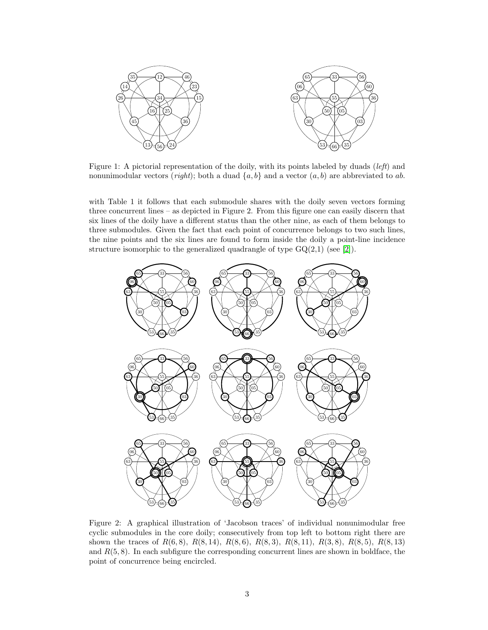

Figure 1: A pictorial representation of the doily, with its points labeled by duads (left) and nonunimodular vectors (*right*); both a duad  $\{a, b\}$  and a vector  $(a, b)$  are abbreviated to ab.

with Table 1 it follows that each submodule shares with the doily seven vectors forming three concurrent lines – as depicted in Figure 2. From this figure one can easily discern that six lines of the doily have a different status than the other nine, as each of them belongs to three submodules. Given the fact that each point of concurrence belongs to two such lines, the nine points and the six lines are found to form inside the doily a point-line incidence structure isomorphic to the generalized quadrangle of type  $GQ(2,1)$  (see [\[2\]](#page-4-1)).



Figure 2: A graphical illustration of 'Jacobson traces' of individual nonunimodular free cyclic submodules in the core doily; consecutively from top left to bottom right there are shown the traces of  $R(6, 8)$ ,  $R(8, 14)$ ,  $R(8, 6)$ ,  $R(8, 3)$ ,  $R(8, 11)$ ,  $R(3, 8)$ ,  $R(8, 5)$ ,  $R(8, 13)$ and  $R(5, 8)$ . In each subfigure the corresponding concurrent lines are shown in boldface, the point of concurrence being encircled.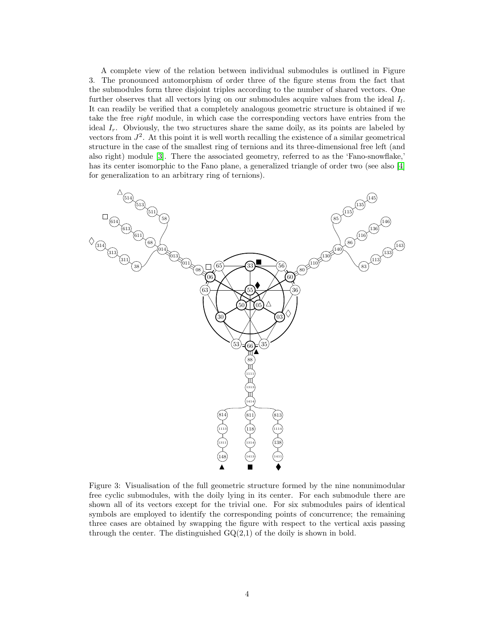A complete view of the relation between individual submodules is outlined in Figure 3. The pronounced automorphism of order three of the figure stems from the fact that the submodules form three disjoint triples according to the number of shared vectors. One further observes that all vectors lying on our submodules acquire values from the ideal  $I_l$ . It can readily be verified that a completely analogous geometric structure is obtained if we take the free right module, in which case the corresponding vectors have entries from the ideal  $I_r$ . Obviously, the two structures share the same doily, as its points are labeled by vectors from  $J^2$ . At this point it is well worth recalling the existence of a similar geometrical structure in the case of the smallest ring of ternions and its three-dimensional free left (and also right) module [\[3\]](#page-4-2). There the associated geometry, referred to as the 'Fano-snowflake,' has its center isomorphic to the Fano plane, a generalized triangle of order two (see also [\[4\]](#page-4-3) for generalization to an arbitrary ring of ternions).



Figure 3: Visualisation of the full geometric structure formed by the nine nonunimodular free cyclic submodules, with the doily lying in its center. For each submodule there are shown all of its vectors except for the trivial one. For six submodules pairs of identical symbols are employed to identify the corresponding points of concurrence; the remaining three cases are obtained by swapping the figure with respect to the vertical axis passing through the center. The distinguished  $GQ(2,1)$  of the doily is shown in bold.